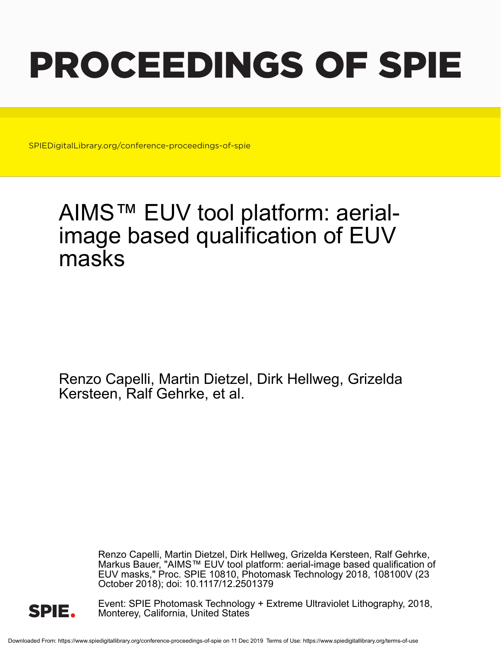# PROCEEDINGS OF SPIE

SPIEDigitalLibrary.org/conference-proceedings-of-spie

## AIMS™ EUV tool platform: aerialimage based qualification of EUV masks

Renzo Capelli, Martin Dietzel, Dirk Hellweg, Grizelda Kersteen, Ralf Gehrke, et al.

> Renzo Capelli, Martin Dietzel, Dirk Hellweg, Grizelda Kersteen, Ralf Gehrke, Markus Bauer, "AIMS™ EUV tool platform: aerial-image based qualification of EUV masks," Proc. SPIE 10810, Photomask Technology 2018, 108100V (23 October 2018); doi: 10.1117/12.2501379



Event: SPIE Photomask Technology + Extreme Ultraviolet Lithography, 2018, Monterey, California, United States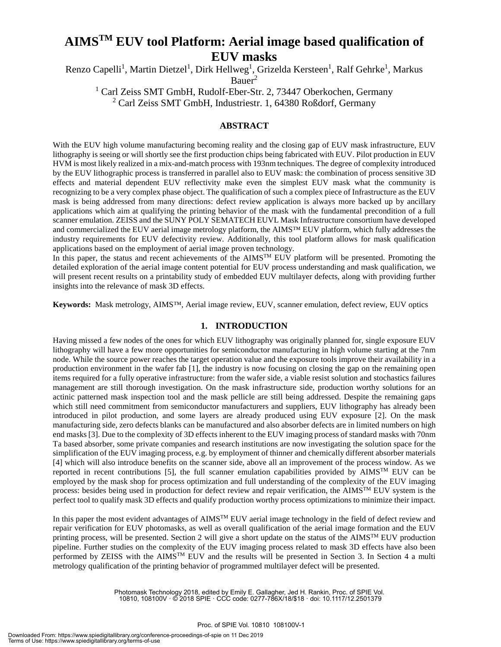### **AIMSTM EUV tool Platform: Aerial image based qualification of EUV masks**

Renzo Capelli<sup>1</sup>, Martin Dietzel<sup>1</sup>, Dirk Hellweg<sup>1</sup>, Grizelda Kersteen<sup>1</sup>, Ralf Gehrke<sup>1</sup>, Markus Bauer<sup>2</sup>

<sup>1</sup> Carl Zeiss SMT GmbH, Rudolf-Eber-Str. 2, 73447 Oberkochen, Germany <sup>2</sup> Carl Zeiss SMT GmbH, Industriestr. 1, 64380 Roßdorf, Germany

#### **ABSTRACT**

With the EUV high volume manufacturing becoming reality and the closing gap of EUV mask infrastructure, EUV lithography is seeing or will shortly see the first production chips being fabricated with EUV. Pilot production in EUV HVM is most likely realized in a mix-and-match process with 193nm techniques. The degree of complexity introduced by the EUV lithographic process is transferred in parallel also to EUV mask: the combination of process sensitive 3D effects and material dependent EUV reflectivity make even the simplest EUV mask what the community is recognizing to be a very complex phase object. The qualification of such a complex piece of Infrastructure as the EUV mask is being addressed from many directions: defect review application is always more backed up by ancillary applications which aim at qualifying the printing behavior of the mask with the fundamental precondition of a full scanner emulation. ZEISS and the SUNY POLY SEMATECH EUVL Mask Infrastructure consortium have developed and commercialized the EUV aerial image metrology platform, the AIMS™ EUV platform, which fully addresses the industry requirements for EUV defectivity review. Additionally, this tool platform allows for mask qualification applications based on the employment of aerial image proven technology.

In this paper, the status and recent achievements of the  $\text{AIMS}^{\text{TM}}$  EUV platform will be presented. Promoting the detailed exploration of the aerial image content potential for EUV process understanding and mask qualification, we will present recent results on a printability study of embedded EUV multilayer defects, along with providing further insights into the relevance of mask 3D effects.

**Keywords:** Mask metrology, AIMS™, Aerial image review, EUV, scanner emulation, defect review, EUV optics

#### **1. INTRODUCTION**

Having missed a few nodes of the ones for which EUV lithography was originally planned for, single exposure EUV lithography will have a few more opportunities for semiconductor manufacturing in high volume starting at the 7nm node. While the source power reaches the target operation value and the exposure tools improve their availability in a production environment in the wafer fab [1], the industry is now focusing on closing the gap on the remaining open items required for a fully operative infrastructure: from the wafer side, a viable resist solution and stochastics failures management are still thorough investigation. On the mask infrastructure side, production worthy solutions for an actinic patterned mask inspection tool and the mask pellicle are still being addressed. Despite the remaining gaps which still need commitment from semiconductor manufacturers and suppliers, EUV lithography has already been introduced in pilot production, and some layers are already produced using EUV exposure [2]. On the mask manufacturing side, zero defects blanks can be manufactured and also absorber defects are in limited numbers on high end masks [3]. Due to the complexity of 3D effects inherent to the EUV imaging process of standard masks with 70nm Ta based absorber, some private companies and research institutions are now investigating the solution space for the simplification of the EUV imaging process, e.g. by employment of thinner and chemically different absorber materials [4] which will also introduce benefits on the scanner side, above all an improvement of the process window. As we reported in recent contributions [5], the full scanner emulation capabilities provided by  $\text{AIMS}^{\text{TM}}$  EUV can be employed by the mask shop for process optimization and full understanding of the complexity of the EUV imaging process: besides being used in production for defect review and repair verification, the AIMSTM EUV system is the perfect tool to qualify mask 3D effects and qualify production worthy process optimizations to minimize their impact.

In this paper the most evident advantages of  $\text{AIMS}^{\text{TM}}$  EUV aerial image technology in the field of defect review and repair verification for EUV photomasks, as well as overall qualification of the aerial image formation and the EUV printing process, will be presented. Section 2 will give a short update on the status of the  $\text{AIMS}^{\text{TM}}$  EUV production pipeline. Further studies on the complexity of the EUV imaging process related to mask 3D effects have also been performed by ZEISS with the AIMSTM EUV and the results will be presented in Section 3. In Section 4 a multi metrology qualification of the printing behavior of programmed multilayer defect will be presented.

> Photomask Technology 2018, edited by Emily E. Gallagher, Jed H. Rankin, Proc. of SPIE Vol. 10810, 108100V · © 2018 SPIE · CCC code: 0277-786X/18/\$18 · doi: 10.1117/12.2501379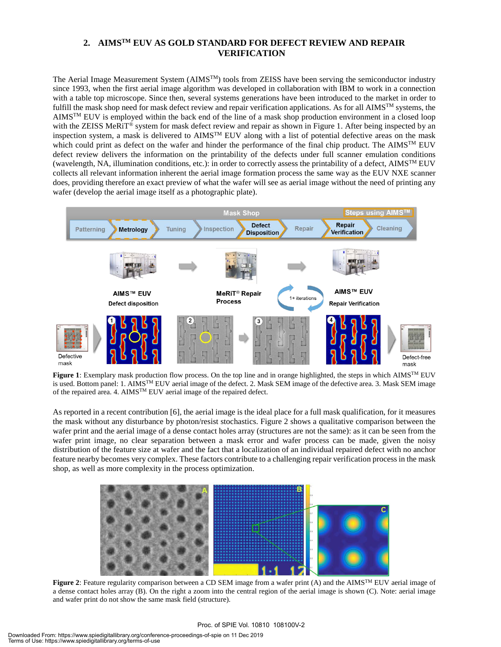#### **2. AIMSTM EUV AS GOLD STANDARD FOR DEFECT REVIEW AND REPAIR VERIFICATION**

The Aerial Image Measurement System (AIMS<sup>TM</sup>) tools from ZEISS have been serving the semiconductor industry since 1993, when the first aerial image algorithm was developed in collaboration with IBM to work in a connection with a table top microscope. Since then, several systems generations have been introduced to the market in order to fulfill the mask shop need for mask defect review and repair verification applications. As for all  $AIMS^{TM}$  systems, the AIMSTM EUV is employed within the back end of the line of a mask shop production environment in a closed loop with the ZEISS MeRiT<sup>®</sup> system for mask defect review and repair as shown in Figure 1. After being inspected by an inspection system, a mask is delivered to AIMSTM EUV along with a list of potential defective areas on the mask which could print as defect on the wafer and hinder the performance of the final chip product. The AIMS<sup>TM</sup> EUV defect review delivers the information on the printability of the defects under full scanner emulation conditions (wavelength, NA, illumination conditions, etc.): in order to correctly assess the printability of a defect, AIMSTM EUV collects all relevant information inherent the aerial image formation process the same way as the EUV NXE scanner does, providing therefore an exact preview of what the wafer will see as aerial image without the need of printing any wafer (develop the aerial image itself as a photographic plate).



**Figure 1**: Exemplary mask production flow process. On the top line and in orange highlighted, the steps in which AIMSTM EUV is used. Bottom panel: 1. AIMSTM EUV aerial image of the defect. 2. Mask SEM image of the defective area. 3. Mask SEM image of the repaired area. 4. AIMSTM EUV aerial image of the repaired defect.

As reported in a recent contribution [6], the aerial image is the ideal place for a full mask qualification, for it measures the mask without any disturbance by photon/resist stochastics. Figure 2 shows a qualitative comparison between the wafer print and the aerial image of a dense contact holes array (structures are not the same): as it can be seen from the wafer print image, no clear separation between a mask error and wafer process can be made, given the noisy distribution of the feature size at wafer and the fact that a localization of an individual repaired defect with no anchor feature nearby becomes very complex. These factors contribute to a challenging repair verification process in the mask shop, as well as more complexity in the process optimization.



**Figure 2**: Feature regularity comparison between a CD SEM image from a wafer print (A) and the AIMS<sup>TM</sup> EUV aerial image of a dense contact holes array (B). On the right a zoom into the central region of the aerial image is shown (C). Note: aerial image and wafer print do not show the same mask field (structure).

#### Proc. of SPIE Vol. 10810 108100V-2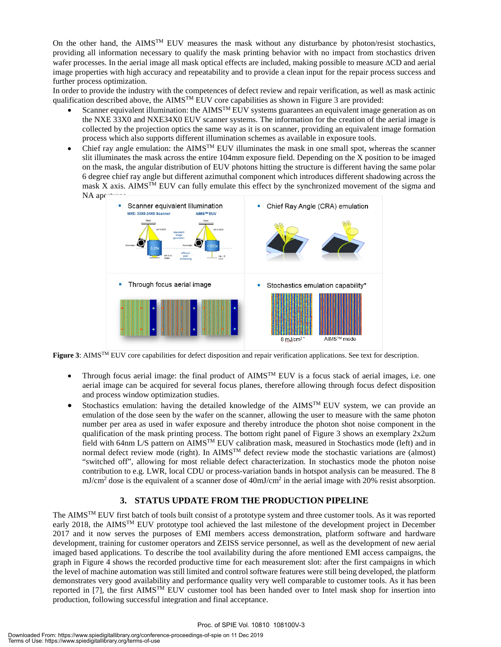On the other hand, the AIMS<sup>TM</sup> EUV measures the mask without any disturbance by photon/resist stochastics, providing all information necessary to qualify the mask printing behavior with no impact from stochastics driven wafer processes. In the aerial image all mask optical effects are included, making possible to measure ∆CD and aerial image properties with high accuracy and repeatability and to provide a clean input for the repair process success and further process optimization.

In order to provide the industry with the competences of defect review and repair verification, as well as mask actinic qualification described above, the AIMS<sup>TM</sup> EUV core capabilities as shown in Figure 3 are provided:

- Scanner equivalent illumination: the  $\text{AIM}^{\text{TM}}$  EUV systems guarantees an equivalent image generation as on the NXE 33X0 and NXE34X0 EUV scanner systems. The information for the creation of the aerial image is collected by the projection optics the same way as it is on scanner, providing an equivalent image formation process which also supports different illumination schemes as available in exposure tools.
- Chief ray angle emulation: the AIMSTM EUV illuminates the mask in one small spot, whereas the scanner slit illuminates the mask across the entire 104mm exposure field. Depending on the X position to be imaged on the mask, the angular distribution of EUV photons hitting the structure is different having the same polar 6 degree chief ray angle but different azimuthal component which introduces different shadowing across the mask X axis. AIMS<sup>TM</sup> EUV can fully emulate this effect by the synchronized movement of the sigma and  $NA$  ap $\vdash$



**Figure 3**: AIMSTM EUV core capabilities for defect disposition and repair verification applications. See text for description.

- Through focus aerial image: the final product of  $\text{AIMS}^{\text{TM}}$  EUV is a focus stack of aerial images, i.e. one aerial image can be acquired for several focus planes, therefore allowing through focus defect disposition and process window optimization studies.
- Stochastics emulation: having the detailed knowledge of the  $\text{AIMS}^{\text{TM}}$  EUV system, we can provide an emulation of the dose seen by the wafer on the scanner, allowing the user to measure with the same photon number per area as used in wafer exposure and thereby introduce the photon shot noise component in the qualification of the mask printing process. The bottom right panel of Figure 3 shows an exemplary 2x2um field with 64nm L/S pattern on AIMSTM EUV calibration mask, measured in Stochastics mode (left) and in normal defect review mode (right). In AIMS<sup>TM</sup> defect review mode the stochastic variations are (almost) "switched off", allowing for most reliable defect characterization. In stochastics mode the photon noise contribution to e.g. LWR, local CDU or process-variation bands in hotspot analysis can be measured. The 8 mJ/cm<sup>2</sup> dose is the equivalent of a scanner dose of 40mJ/cm<sup>2</sup> in the aerial image with 20% resist absorption.

#### **3. STATUS UPDATE FROM THE PRODUCTION PIPELINE**

The AIMSTM EUV first batch of tools built consist of a prototype system and three customer tools. As it was reported early 2018, the AIMSTM EUV prototype tool achieved the last milestone of the development project in December 2017 and it now serves the purposes of EMI members access demonstration, platform software and hardware development, training for customer operators and ZEISS service personnel, as well as the development of new aerial imaged based applications. To describe the tool availability during the afore mentioned EMI access campaigns, the graph in Figure 4 shows the recorded productive time for each measurement slot: after the first campaigns in which the level of machine automation was still limited and control software features were still being developed, the platform demonstrates very good availability and performance quality very well comparable to customer tools. As it has been reported in [7], the first AIMSTM EUV customer tool has been handed over to Intel mask shop for insertion into production, following successful integration and final acceptance.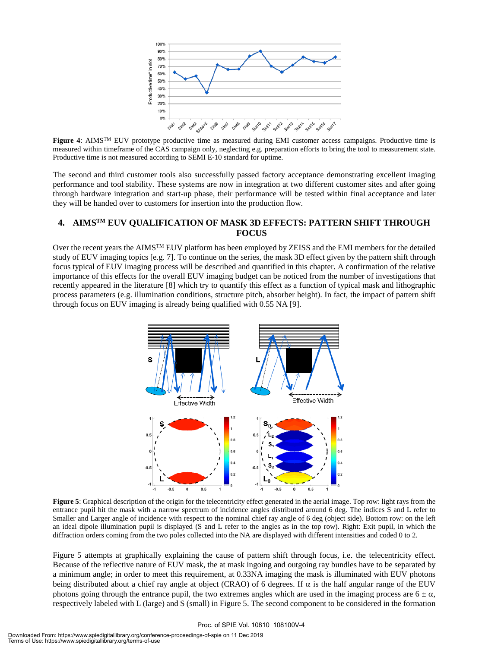

**Figure 4**: AIMSTM EUV prototype productive time as measured during EMI customer access campaigns. Productive time is measured within timeframe of the CAS campaign only, neglecting e.g. preparation efforts to bring the tool to measurement state. Productive time is not measured according to SEMI E-10 standard for uptime.

The second and third customer tools also successfully passed factory acceptance demonstrating excellent imaging performance and tool stability. These systems are now in integration at two different customer sites and after going through hardware integration and start-up phase, their performance will be tested within final acceptance and later they will be handed over to customers for insertion into the production flow.

#### **4. AIMSTM EUV QUALIFICATION OF MASK 3D EFFECTS: PATTERN SHIFT THROUGH FOCUS**

Over the recent years the AIMS<sup>TM</sup> EUV platform has been employed by ZEISS and the EMI members for the detailed study of EUV imaging topics [e.g. 7]. To continue on the series, the mask 3D effect given by the pattern shift through focus typical of EUV imaging process will be described and quantified in this chapter. A confirmation of the relative importance of this effects for the overall EUV imaging budget can be noticed from the number of investigations that recently appeared in the literature [8] which try to quantify this effect as a function of typical mask and lithographic process parameters (e.g. illumination conditions, structure pitch, absorber height). In fact, the impact of pattern shift through focus on EUV imaging is already being qualified with 0.55 NA [9].



**Figure 5**: Graphical description of the origin for the telecentricity effect generated in the aerial image. Top row: light rays from the entrance pupil hit the mask with a narrow spectrum of incidence angles distributed around 6 deg. The indices S and L refer to Smaller and Larger angle of incidence with respect to the nominal chief ray angle of 6 deg (object side). Bottom row: on the left an ideal dipole illumination pupil is displayed (S and L refer to the angles as in the top row). Right: Exit pupil, in which the diffraction orders coming from the two poles collected into the NA are displayed with different intensities and coded 0 to 2.

Figure 5 attempts at graphically explaining the cause of pattern shift through focus, i.e. the telecentricity effect. Because of the reflective nature of EUV mask, the at mask ingoing and outgoing ray bundles have to be separated by a minimum angle; in order to meet this requirement, at 0.33NA imaging the mask is illuminated with EUV photons being distributed about a chief ray angle at object (CRAO) of 6 degrees. If  $\alpha$  is the half angular range of the EUV photons going through the entrance pupil, the two extremes angles which are used in the imaging process are  $6 \pm \alpha$ , respectively labeled with L (large) and S (small) in Figure 5. The second component to be considered in the formation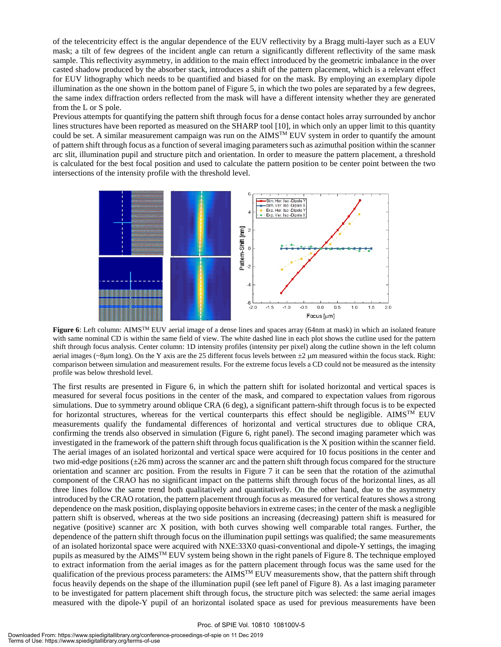of the telecentricity effect is the angular dependence of the EUV reflectivity by a Bragg multi-layer such as a EUV mask; a tilt of few degrees of the incident angle can return a significantly different reflectivity of the same mask sample. This reflectivity asymmetry, in addition to the main effect introduced by the geometric imbalance in the over casted shadow produced by the absorber stack, introduces a shift of the pattern placement, which is a relevant effect for EUV lithography which needs to be quantified and biased for on the mask. By employing an exemplary dipole illumination as the one shown in the bottom panel of Figure 5, in which the two poles are separated by a few degrees, the same index diffraction orders reflected from the mask will have a different intensity whether they are generated from the L or S pole.

Previous attempts for quantifying the pattern shift through focus for a dense contact holes array surrounded by anchor lines structures have been reported as measured on the SHARP tool [10], in which only an upper limit to this quantity could be set. A similar measurement campaign was run on the  $\text{AIMS}^{\text{TM}}$  EUV system in order to quantify the amount of pattern shift through focus as a function of several imaging parameters such as azimuthal position within the scanner arc slit, illumination pupil and structure pitch and orientation. In order to measure the pattern placement, a threshold is calculated for the best focal position and used to calculate the pattern position to be center point between the two intersections of the intensity profile with the threshold level.



**Figure 6**: Left column: AIMSTM EUV aerial image of a dense lines and spaces array (64nm at mask) in which an isolated feature with same nominal CD is within the same field of view. The white dashed line in each plot shows the cutline used for the pattern shift through focus analysis. Center column: 1D intensity profiles (intensity per pixel) along the cutline shown in the left column aerial images ( $\sim$ 8µm long). On the Y axis are the 25 different focus levels between  $\pm$ 2 µm measured within the focus stack. Right: comparison between simulation and measurement results. For the extreme focus levels a CD could not be measured as the intensity profile was below threshold level.

The first results are presented in Figure 6, in which the pattern shift for isolated horizontal and vertical spaces is measured for several focus positions in the center of the mask, and compared to expectation values from rigorous simulations. Due to symmetry around oblique CRA (6 deg), a significant pattern-shift through focus is to be expected for horizontal structures, whereas for the vertical counterparts this effect should be negligible.  $\text{AIMS}^{\text{TM}}$  EUV measurements qualify the fundamental differences of horizontal and vertical structures due to oblique CRA, confirming the trends also observed in simulation (Figure 6, right panel). The second imaging parameter which was investigated in the framework of the pattern shift through focus qualification is the X position within the scanner field. The aerial images of an isolated horizontal and vertical space were acquired for 10 focus positions in the center and two mid-edge positions (±26 mm) across the scanner arc and the pattern shift through focus compared for the structure orientation and scanner arc position. From the results in Figure 7 it can be seen that the rotation of the azimuthal component of the CRAO has no significant impact on the patterns shift through focus of the horizontal lines, as all three lines follow the same trend both qualitatively and quantitatively. On the other hand, due to the asymmetry introduced by the CRAO rotation, the pattern placement through focus as measured for vertical features shows a strong dependence on the mask position, displaying opposite behaviors in extreme cases; in the center of the mask a negligible pattern shift is observed, whereas at the two side positions an increasing (decreasing) pattern shift is measured for negative (positive) scanner arc X position, with both curves showing well comparable total ranges. Further, the dependence of the pattern shift through focus on the illumination pupil settings was qualified; the same measurements of an isolated horizontal space were acquired with NXE:33X0 quasi-conventional and dipole-Y settings, the imaging pupils as measured by the AIMS<sup>TM</sup> EUV system being shown in the right panels of Figure 8. The technique employed to extract information from the aerial images as for the pattern placement through focus was the same used for the qualification of the previous process parameters: the AIMS<sup>TM</sup> EUV measurements show, that the pattern shift through focus heavily depends on the shape of the illumination pupil (see left panel of Figure 8). As a last imaging parameter to be investigated for pattern placement shift through focus, the structure pitch was selected: the same aerial images measured with the dipole-Y pupil of an horizontal isolated space as used for previous measurements have been

#### Proc. of SPIE Vol. 10810 108100V-5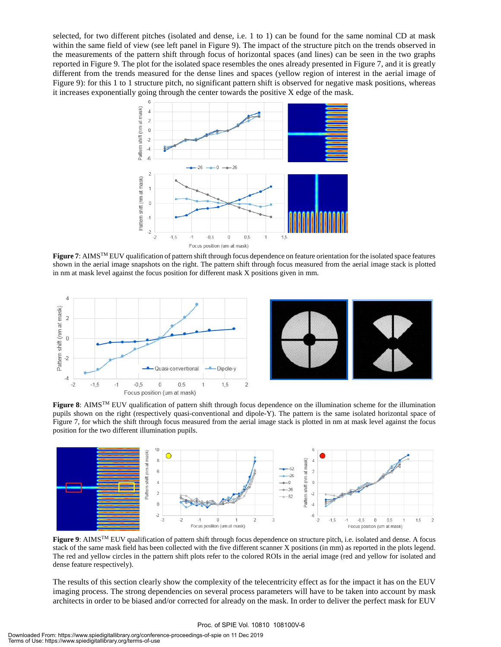selected, for two different pitches (isolated and dense, i.e. 1 to 1) can be found for the same nominal CD at mask within the same field of view (see left panel in Figure 9). The impact of the structure pitch on the trends observed in the measurements of the pattern shift through focus of horizontal spaces (and lines) can be seen in the two graphs reported in Figure 9. The plot for the isolated space resembles the ones already presented in Figure 7, and it is greatly different from the trends measured for the dense lines and spaces (yellow region of interest in the aerial image of Figure 9): for this 1 to 1 structure pitch, no significant pattern shift is observed for negative mask positions, whereas it increases exponentially going through the center towards the positive X edge of the mask.



**Figure 7**: AIMSTM EUV qualification of pattern shift through focus dependence on feature orientation for the isolated space features shown in the aerial image snapshots on the right. The pattern shift through focus measured from the aerial image stack is plotted in nm at mask level against the focus position for different mask X positions given in mm.





**Figure 8**: AIMSTM EUV qualification of pattern shift through focus dependence on the illumination scheme for the illumination pupils shown on the right (respectively quasi-conventional and dipole-Y). The pattern is the same isolated horizontal space of Figure 7, for which the shift through focus measured from the aerial image stack is plotted in nm at mask level against the focus position for the two different illumination pupils.



**Figure 9**: AIMSTM EUV qualification of pattern shift through focus dependence on structure pitch, i.e. isolated and dense. A focus stack of the same mask field has been collected with the five different scanner X positions (in mm) as reported in the plots legend. The red and yellow circles in the pattern shift plots refer to the colored ROIs in the aerial image (red and yellow for isolated and dense feature respectively).

The results of this section clearly show the complexity of the telecentricity effect as for the impact it has on the EUV imaging process. The strong dependencies on several process parameters will have to be taken into account by mask architects in order to be biased and/or corrected for already on the mask. In order to deliver the perfect mask for EUV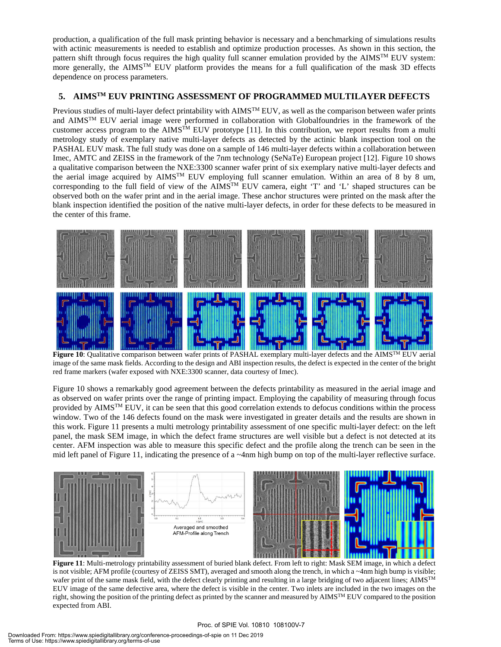production, a qualification of the full mask printing behavior is necessary and a benchmarking of simulations results with actinic measurements is needed to establish and optimize production processes. As shown in this section, the pattern shift through focus requires the high quality full scanner emulation provided by the  $\text{AIMS}^{\text{TM}}$  EUV system: more generally, the AIMS<sup>TM</sup> EUV platform provides the means for a full qualification of the mask 3D effects dependence on process parameters.

#### **5. AIMSTM EUV PRINTING ASSESSMENT OF PROGRAMMED MULTILAYER DEFECTS**

Previous studies of multi-layer defect printability with AIMS<sup>TM</sup> EUV, as well as the comparison between wafer prints and AIMSTM EUV aerial image were performed in collaboration with Globalfoundries in the framework of the customer access program to the AIMSTM EUV prototype [11]. In this contribution, we report results from a multi metrology study of exemplary native multi-layer defects as detected by the actinic blank inspection tool on the PASHAL EUV mask. The full study was done on a sample of 146 multi-layer defects within a collaboration between Imec, AMTC and ZEISS in the framework of the 7nm technology (SeNaTe) European project [12]. Figure 10 shows a qualitative comparison between the NXE:3300 scanner wafer print of six exemplary native multi-layer defects and the aerial image acquired by AIMSTM EUV employing full scanner emulation. Within an area of 8 by 8 um, corresponding to the full field of view of the AIMSTM EUV camera, eight 'T' and 'L' shaped structures can be observed both on the wafer print and in the aerial image. These anchor structures were printed on the mask after the blank inspection identified the position of the native multi-layer defects, in order for these defects to be measured in the center of this frame.



**Figure 10**: Qualitative comparison between wafer prints of PASHAL exemplary multi-layer defects and the AIMSTM EUV aerial image of the same mask fields. According to the design and ABI inspection results, the defect is expected in the center of the bright red frame markers (wafer exposed with NXE:3300 scanner, data courtesy of Imec).

Figure 10 shows a remarkably good agreement between the defects printability as measured in the aerial image and as observed on wafer prints over the range of printing impact. Employing the capability of measuring through focus provided by AIMSTM EUV, it can be seen that this good correlation extends to defocus conditions within the process window. Two of the 146 defects found on the mask were investigated in greater details and the results are shown in this work. Figure 11 presents a multi metrology printability assessment of one specific multi-layer defect: on the left panel, the mask SEM image, in which the defect frame structures are well visible but a defect is not detected at its center. AFM inspection was able to measure this specific defect and the profile along the trench can be seen in the mid left panel of Figure 11, indicating the presence of a  $\sim$ 4nm high bump on top of the multi-layer reflective surface.



**Figure 11**: Multi-metrology printability assessment of buried blank defect. From left to right: Mask SEM image, in which a defect is not visible; AFM profile (courtesy of ZEISS SMT), averaged and smooth along the trench, in which a ~4nm high bump is visible; wafer print of the same mask field, with the defect clearly printing and resulting in a large bridging of two adjacent lines; AIMS<sup>TM</sup> EUV image of the same defective area, where the defect is visible in the center. Two inlets are included in the two images on the right, showing the position of the printing defect as printed by the scanner and measured by  $\text{AIM} \text{S}^{\text{TM}}$  EUV compared to the position expected from ABI.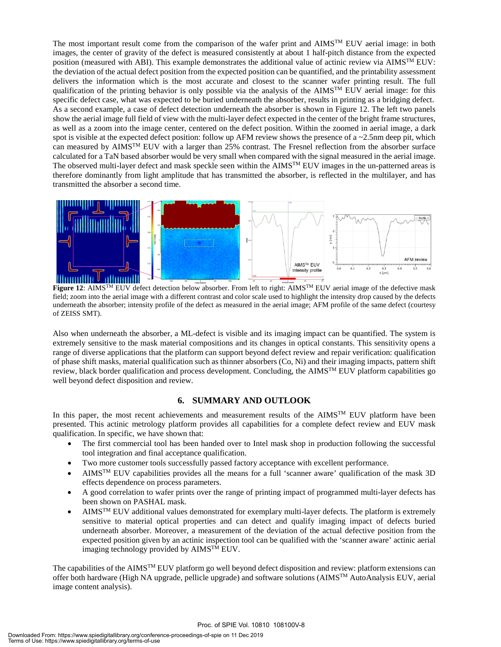The most important result come from the comparison of the wafer print and  $\text{AIMS}^{\text{TM}}$  EUV aerial image: in both images, the center of gravity of the defect is measured consistently at about 1 half-pitch distance from the expected position (measured with ABI). This example demonstrates the additional value of actinic review via AIMS<sup>TM</sup> EUV: the deviation of the actual defect position from the expected position can be quantified, and the printability assessment delivers the information which is the most accurate and closest to the scanner wafer printing result. The full qualification of the printing behavior is only possible via the analysis of the AIMS<sup>TM</sup> EUV aerial image: for this specific defect case, what was expected to be buried underneath the absorber, results in printing as a bridging defect. As a second example, a case of defect detection underneath the absorber is shown in Figure 12. The left two panels show the aerial image full field of view with the multi-layer defect expected in the center of the bright frame structures, as well as a zoom into the image center, centered on the defect position. Within the zoomed in aerial image, a dark spot is visible at the expected defect position: follow up AFM review shows the presence of a  $\sim$ 2.5nm deep pit, which can measured by AIMSTM EUV with a larger than 25% contrast. The Fresnel reflection from the absorber surface calculated for a TaN based absorber would be very small when compared with the signal measured in the aerial image. The observed multi-layer defect and mask speckle seen within the  $\text{AIMS}^{\text{TM}}$  EUV images in the un-patterned areas is therefore dominantly from light amplitude that has transmitted the absorber, is reflected in the multilayer, and has transmitted the absorber a second time.



**Figure 12**: AIMSTM EUV defect detection below absorber. From left to right: AIMSTM EUV aerial image of the defective mask field; zoom into the aerial image with a different contrast and color scale used to highlight the intensity drop caused by the defects underneath the absorber; intensity profile of the defect as measured in the aerial image; AFM profile of the same defect (courtesy of ZEISS SMT).

Also when underneath the absorber, a ML-defect is visible and its imaging impact can be quantified. The system is extremely sensitive to the mask material compositions and its changes in optical constants. This sensitivity opens a range of diverse applications that the platform can support beyond defect review and repair verification: qualification of phase shift masks, material qualification such as thinner absorbers (Co, Ni) and their imaging impacts, pattern shift review, black border qualification and process development. Concluding, the  $\text{AIMS}^{\text{TM}}$  EUV platform capabilities go well beyond defect disposition and review.

#### **6. SUMMARY AND OUTLOOK**

In this paper, the most recent achievements and measurement results of the  $\text{AIMS}^{\text{TM}}$  EUV platform have been presented. This actinic metrology platform provides all capabilities for a complete defect review and EUV mask qualification. In specific, we have shown that:

- The first commercial tool has been handed over to Intel mask shop in production following the successful tool integration and final acceptance qualification.
- Two more customer tools successfully passed factory acceptance with excellent performance.
- AIMSTM EUV capabilities provides all the means for a full 'scanner aware' qualification of the mask 3D effects dependence on process parameters.
- A good correlation to wafer prints over the range of printing impact of programmed multi-layer defects has been shown on PASHAL mask.
- AIMSTM EUV additional values demonstrated for exemplary multi-layer defects. The platform is extremely sensitive to material optical properties and can detect and qualify imaging impact of defects buried underneath absorber. Moreover, a measurement of the deviation of the actual defective position from the expected position given by an actinic inspection tool can be qualified with the 'scanner aware' actinic aerial imaging technology provided by AIMSTM EUV.

The capabilities of the AIMS<sup>TM</sup> EUV platform go well beyond defect disposition and review: platform extensions can offer both hardware (High NA upgrade, pellicle upgrade) and software solutions (AIMSTM AutoAnalysis EUV, aerial image content analysis).